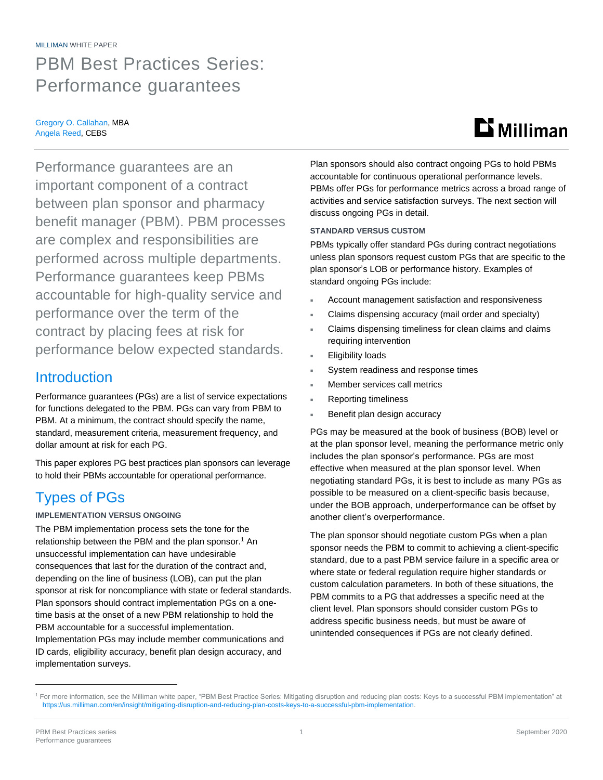#### MILLIMAN WHITE PAPER

## PBM Best Practices Series: Performance guarantees

#### Gregory O. Callahan, MBA Angela Reed, CEBS

# $\mathbf{D}$  Milliman

Performance guarantees are an important component of a contract between plan sponsor and pharmacy benefit manager (PBM). PBM processes are complex and responsibilities are performed across multiple departments. Performance guarantees keep PBMs accountable for high-quality service and performance over the term of the contract by placing fees at risk for performance below expected standards.

### **Introduction**

Performance guarantees (PGs) are a list of service expectations for functions delegated to the PBM. PGs can vary from PBM to PBM. At a minimum, the contract should specify the name, standard, measurement criteria, measurement frequency, and dollar amount at risk for each PG.

This paper explores PG best practices plan sponsors can leverage to hold their PBMs accountable for operational performance.

## Types of PGs

### **IMPLEMENTATION VERSUS ONGOING**

The PBM implementation process sets the tone for the relationship between the PBM and the plan sponsor.<sup>1</sup> An unsuccessful implementation can have undesirable consequences that last for the duration of the contract and, depending on the line of business (LOB), can put the plan sponsor at risk for noncompliance with state or federal standards. Plan sponsors should contract implementation PGs on a onetime basis at the onset of a new PBM relationship to hold the PBM accountable for a successful implementation. Implementation PGs may include member communications and ID cards, eligibility accuracy, benefit plan design accuracy, and implementation surveys.

Plan sponsors should also contract ongoing PGs to hold PBMs accountable for continuous operational performance levels. PBMs offer PGs for performance metrics across a broad range of activities and service satisfaction surveys. The next section will discuss ongoing PGs in detail.

### **STANDARD VERSUS CUSTOM**

PBMs typically offer standard PGs during contract negotiations unless plan sponsors request custom PGs that are specific to the plan sponsor's LOB or performance history. Examples of standard ongoing PGs include:

- Account management satisfaction and responsiveness
- Claims dispensing accuracy (mail order and specialty)
- Claims dispensing timeliness for clean claims and claims requiring intervention
- Eligibility loads
- System readiness and response times
- Member services call metrics
- Reporting timeliness
- Benefit plan design accuracy

PGs may be measured at the book of business (BOB) level or at the plan sponsor level, meaning the performance metric only includes the plan sponsor's performance. PGs are most effective when measured at the plan sponsor level. When negotiating standard PGs, it is best to include as many PGs as possible to be measured on a client-specific basis because, under the BOB approach, underperformance can be offset by another client's overperformance.

The plan sponsor should negotiate custom PGs when a plan sponsor needs the PBM to commit to achieving a client-specific standard, due to a past PBM service failure in a specific area or where state or federal regulation require higher standards or custom calculation parameters. In both of these situations, the PBM commits to a PG that addresses a specific need at the client level. Plan sponsors should consider custom PGs to address specific business needs, but must be aware of unintended consequences if PGs are not clearly defined.

<sup>&</sup>lt;sup>1</sup> For more information, see the Milliman white paper, "PBM Best Practice Series: Mitigating disruption and reducing plan costs: Keys to a successful PBM implementation" at [https://us.milliman.com/en/insight/mitigating-disruption-and-reducing-plan-costs-keys-to-a-successful-pbm-implementation.](https://us.milliman.com/en/insight/mitigating-disruption-and-reducing-plan-costs-keys-to-a-successful-pbm-implementation)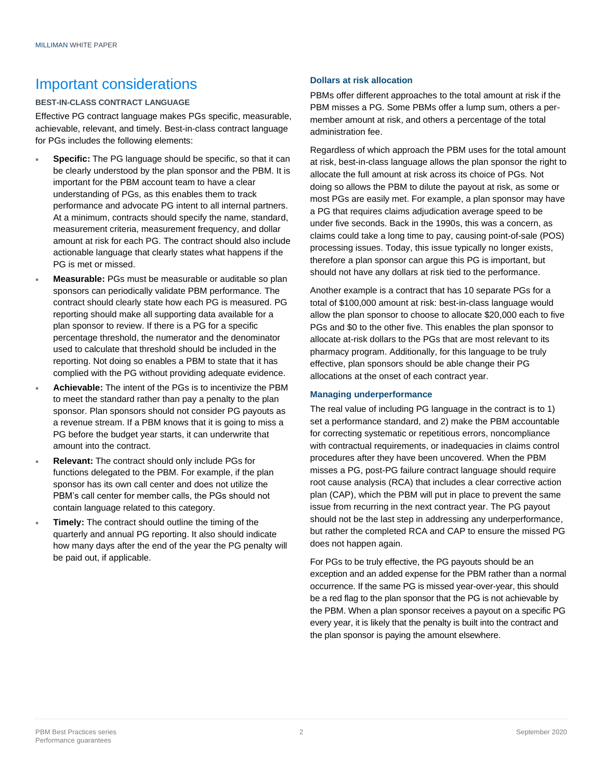### Important considerations

### **BEST-IN-CLASS CONTRACT LANGUAGE**

Effective PG contract language makes PGs specific, measurable, achievable, relevant, and timely. Best-in-class contract language for PGs includes the following elements:

- **Specific:** The PG language should be specific, so that it can be clearly understood by the plan sponsor and the PBM. It is important for the PBM account team to have a clear understanding of PGs, as this enables them to track performance and advocate PG intent to all internal partners. At a minimum, contracts should specify the name, standard, measurement criteria, measurement frequency, and dollar amount at risk for each PG. The contract should also include actionable language that clearly states what happens if the PG is met or missed.
- **Measurable:** PGs must be measurable or auditable so plan sponsors can periodically validate PBM performance. The contract should clearly state how each PG is measured. PG reporting should make all supporting data available for a plan sponsor to review. If there is a PG for a specific percentage threshold, the numerator and the denominator used to calculate that threshold should be included in the reporting. Not doing so enables a PBM to state that it has complied with the PG without providing adequate evidence.
- **Achievable:** The intent of the PGs is to incentivize the PBM to meet the standard rather than pay a penalty to the plan sponsor. Plan sponsors should not consider PG payouts as a revenue stream. If a PBM knows that it is going to miss a PG before the budget year starts, it can underwrite that amount into the contract.
- **Relevant:** The contract should only include PGs for functions delegated to the PBM. For example, if the plan sponsor has its own call center and does not utilize the PBM's call center for member calls, the PGs should not contain language related to this category.
- **Timely:** The contract should outline the timing of the quarterly and annual PG reporting. It also should indicate how many days after the end of the year the PG penalty will be paid out, if applicable.

### **Dollars at risk allocation**

PBMs offer different approaches to the total amount at risk if the PBM misses a PG. Some PBMs offer a lump sum, others a permember amount at risk, and others a percentage of the total administration fee.

Regardless of which approach the PBM uses for the total amount at risk, best-in-class language allows the plan sponsor the right to allocate the full amount at risk across its choice of PGs. Not doing so allows the PBM to dilute the payout at risk, as some or most PGs are easily met. For example, a plan sponsor may have a PG that requires claims adjudication average speed to be under five seconds. Back in the 1990s, this was a concern, as claims could take a long time to pay, causing point-of-sale (POS) processing issues. Today, this issue typically no longer exists, therefore a plan sponsor can argue this PG is important, but should not have any dollars at risk tied to the performance.

Another example is a contract that has 10 separate PGs for a total of \$100,000 amount at risk: best-in-class language would allow the plan sponsor to choose to allocate \$20,000 each to five PGs and \$0 to the other five. This enables the plan sponsor to allocate at-risk dollars to the PGs that are most relevant to its pharmacy program. Additionally, for this language to be truly effective, plan sponsors should be able change their PG allocations at the onset of each contract year.

### **Managing underperformance**

The real value of including PG language in the contract is to 1) set a performance standard, and 2) make the PBM accountable for correcting systematic or repetitious errors, noncompliance with contractual requirements, or inadequacies in claims control procedures after they have been uncovered. When the PBM misses a PG, post-PG failure contract language should require root cause analysis (RCA) that includes a clear corrective action plan (CAP), which the PBM will put in place to prevent the same issue from recurring in the next contract year. The PG payout should not be the last step in addressing any underperformance, but rather the completed RCA and CAP to ensure the missed PG does not happen again.

For PGs to be truly effective, the PG payouts should be an exception and an added expense for the PBM rather than a normal occurrence. If the same PG is missed year-over-year, this should be a red flag to the plan sponsor that the PG is not achievable by the PBM. When a plan sponsor receives a payout on a specific PG every year, it is likely that the penalty is built into the contract and the plan sponsor is paying the amount elsewhere.